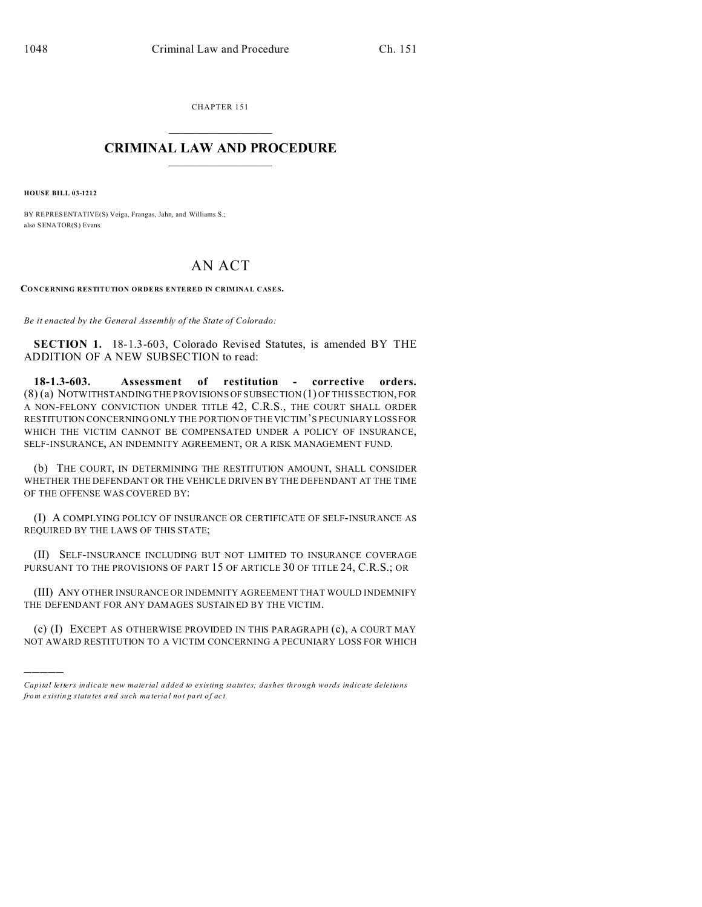CHAPTER 151  $\overline{\phantom{a}}$  , where  $\overline{\phantom{a}}$ 

## **CRIMINAL LAW AND PROCEDURE**  $\_$   $\_$   $\_$   $\_$   $\_$   $\_$   $\_$   $\_$   $\_$

**HOUSE BILL 03-1212**

)))))

BY REPRESENTATIVE(S) Veiga, Frangas, Jahn, and Williams S.; also SENATOR(S) Evans.

## AN ACT

**CONCERNING RESTITUTION ORDERS ENTERED IN CRIMINAL CASES.**

*Be it enacted by the General Assembly of the State of Colorado:*

**SECTION 1.** 18-1.3-603, Colorado Revised Statutes, is amended BY THE ADDITION OF A NEW SUBSECTION to read:

**18-1.3-603. Assessment of restitution - corrective orders.** (8) (a) NOTWITHSTANDING THE PROVISIONS OF SUBSECTION (1) OF THIS SECTION, FOR A NON-FELONY CONVICTION UNDER TITLE 42, C.R.S., THE COURT SHALL ORDER RESTITUTION CONCERNING ONLY THE PORTION OF THE VICTIM'S PECUNIARY LOSSFOR WHICH THE VICTIM CANNOT BE COMPENSATED UNDER A POLICY OF INSURANCE, SELF-INSURANCE, AN INDEMNITY AGREEMENT, OR A RISK MANAGEMENT FUND.

(b) THE COURT, IN DETERMINING THE RESTITUTION AMOUNT, SHALL CONSIDER WHETHER THE DEFENDANT OR THE VEHICLE DRIVEN BY THE DEFENDANT AT THE TIME OF THE OFFENSE WAS COVERED BY:

(I) A COMPLYING POLICY OF INSURANCE OR CERTIFICATE OF SELF-INSURANCE AS REQUIRED BY THE LAWS OF THIS STATE;

(II) SELF-INSURANCE INCLUDING BUT NOT LIMITED TO INSURANCE COVERAGE PURSUANT TO THE PROVISIONS OF PART 15 OF ARTICLE 30 OF TITLE 24, C.R.S.; OR

(III) ANY OTHER INSURANCE OR INDEMNITY AGREEMENT THAT WOULD INDEMNIFY THE DEFENDANT FOR ANY DAMAGES SUSTAINED BY THE VICTIM.

(c) (I) EXCEPT AS OTHERWISE PROVIDED IN THIS PARAGRAPH (c), A COURT MAY NOT AWARD RESTITUTION TO A VICTIM CONCERNING A PECUNIARY LOSS FOR WHICH

*Capital letters indicate new material added to existing statutes; dashes through words indicate deletions from e xistin g statu tes a nd such ma teria l no t pa rt of ac t.*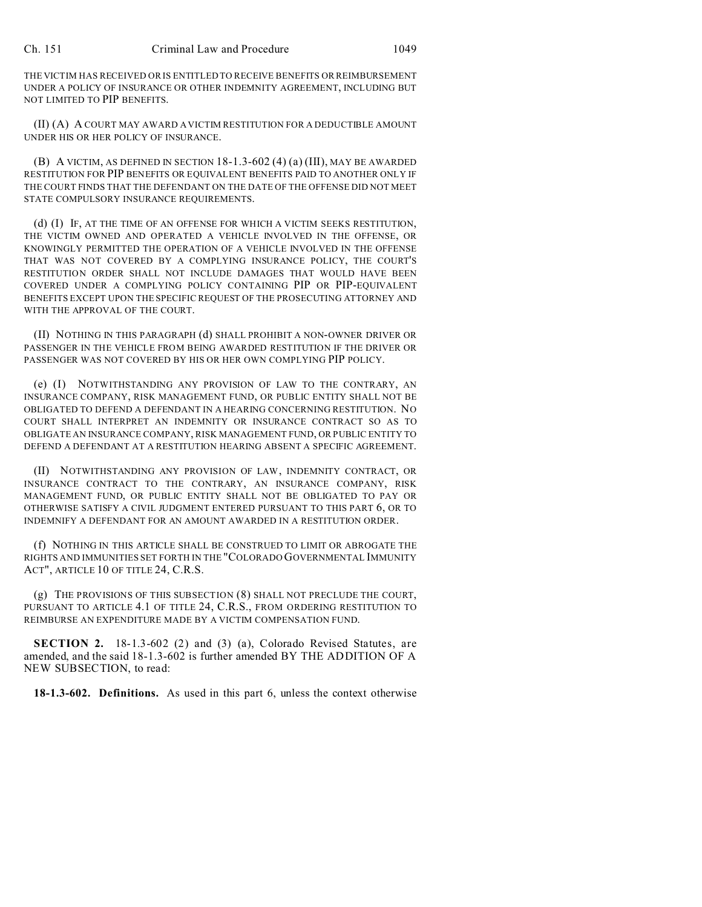THE VICTIM HAS RECEIVED OR IS ENTITLED TO RECEIVE BENEFITS OR REIMBURSEMENT UNDER A POLICY OF INSURANCE OR OTHER INDEMNITY AGREEMENT, INCLUDING BUT NOT LIMITED TO PIP BENEFITS.

(II) (A) A COURT MAY AWARD A VICTIM RESTITUTION FOR A DEDUCTIBLE AMOUNT UNDER HIS OR HER POLICY OF INSURANCE.

(B) A VICTIM, AS DEFINED IN SECTION 18-1.3-602 (4) (a) (III), MAY BE AWARDED RESTITUTION FOR PIP BENEFITS OR EQUIVALENT BENEFITS PAID TO ANOTHER ONLY IF THE COURT FINDS THAT THE DEFENDANT ON THE DATE OF THE OFFENSE DID NOT MEET STATE COMPULSORY INSURANCE REQUIREMENTS.

(d) (I) IF, AT THE TIME OF AN OFFENSE FOR WHICH A VICTIM SEEKS RESTITUTION, THE VICTIM OWNED AND OPERATED A VEHICLE INVOLVED IN THE OFFENSE, OR KNOWINGLY PERMITTED THE OPERATION OF A VEHICLE INVOLVED IN THE OFFENSE THAT WAS NOT COVERED BY A COMPLYING INSURANCE POLICY, THE COURT'S RESTITUTION ORDER SHALL NOT INCLUDE DAMAGES THAT WOULD HAVE BEEN COVERED UNDER A COMPLYING POLICY CONTAINING PIP OR PIP-EQUIVALENT BENEFITS EXCEPT UPON THE SPECIFIC REQUEST OF THE PROSECUTING ATTORNEY AND WITH THE APPROVAL OF THE COURT.

(II) NOTHING IN THIS PARAGRAPH (d) SHALL PROHIBIT A NON-OWNER DRIVER OR PASSENGER IN THE VEHICLE FROM BEING AWARDED RESTITUTION IF THE DRIVER OR PASSENGER WAS NOT COVERED BY HIS OR HER OWN COMPLYING PIP POLICY.

(e) (I) NOTWITHSTANDING ANY PROVISION OF LAW TO THE CONTRARY, AN INSURANCE COMPANY, RISK MANAGEMENT FUND, OR PUBLIC ENTITY SHALL NOT BE OBLIGATED TO DEFEND A DEFENDANT IN A HEARING CONCERNING RESTITUTION. NO COURT SHALL INTERPRET AN INDEMNITY OR INSURANCE CONTRACT SO AS TO OBLIGATE AN INSURANCE COMPANY, RISK MANAGEMENT FUND, OR PUBLIC ENTITY TO DEFEND A DEFENDANT AT A RESTITUTION HEARING ABSENT A SPECIFIC AGREEMENT.

(II) NOTWITHSTANDING ANY PROVISION OF LAW, INDEMNITY CONTRACT, OR INSURANCE CONTRACT TO THE CONTRARY, AN INSURANCE COMPANY, RISK MANAGEMENT FUND, OR PUBLIC ENTITY SHALL NOT BE OBLIGATED TO PAY OR OTHERWISE SATISFY A CIVIL JUDGMENT ENTERED PURSUANT TO THIS PART 6, OR TO INDEMNIFY A DEFENDANT FOR AN AMOUNT AWARDED IN A RESTITUTION ORDER.

(f) NOTHING IN THIS ARTICLE SHALL BE CONSTRUED TO LIMIT OR ABROGATE THE RIGHTS AND IMMUNITIES SET FORTH IN THE "COLORADO GOVERNMENTAL IMMUNITY ACT", ARTICLE 10 OF TITLE 24, C.R.S.

(g) THE PROVISIONS OF THIS SUBSECTION (8) SHALL NOT PRECLUDE THE COURT, PURSUANT TO ARTICLE 4.1 OF TITLE 24, C.R.S., FROM ORDERING RESTITUTION TO REIMBURSE AN EXPENDITURE MADE BY A VICTIM COMPENSATION FUND.

**SECTION 2.** 18-1.3-602 (2) and (3) (a), Colorado Revised Statutes, are amended, and the said 18-1.3-602 is further amended BY THE ADDITION OF A NEW SUBSECTION, to read:

**18-1.3-602. Definitions.** As used in this part 6, unless the context otherwise